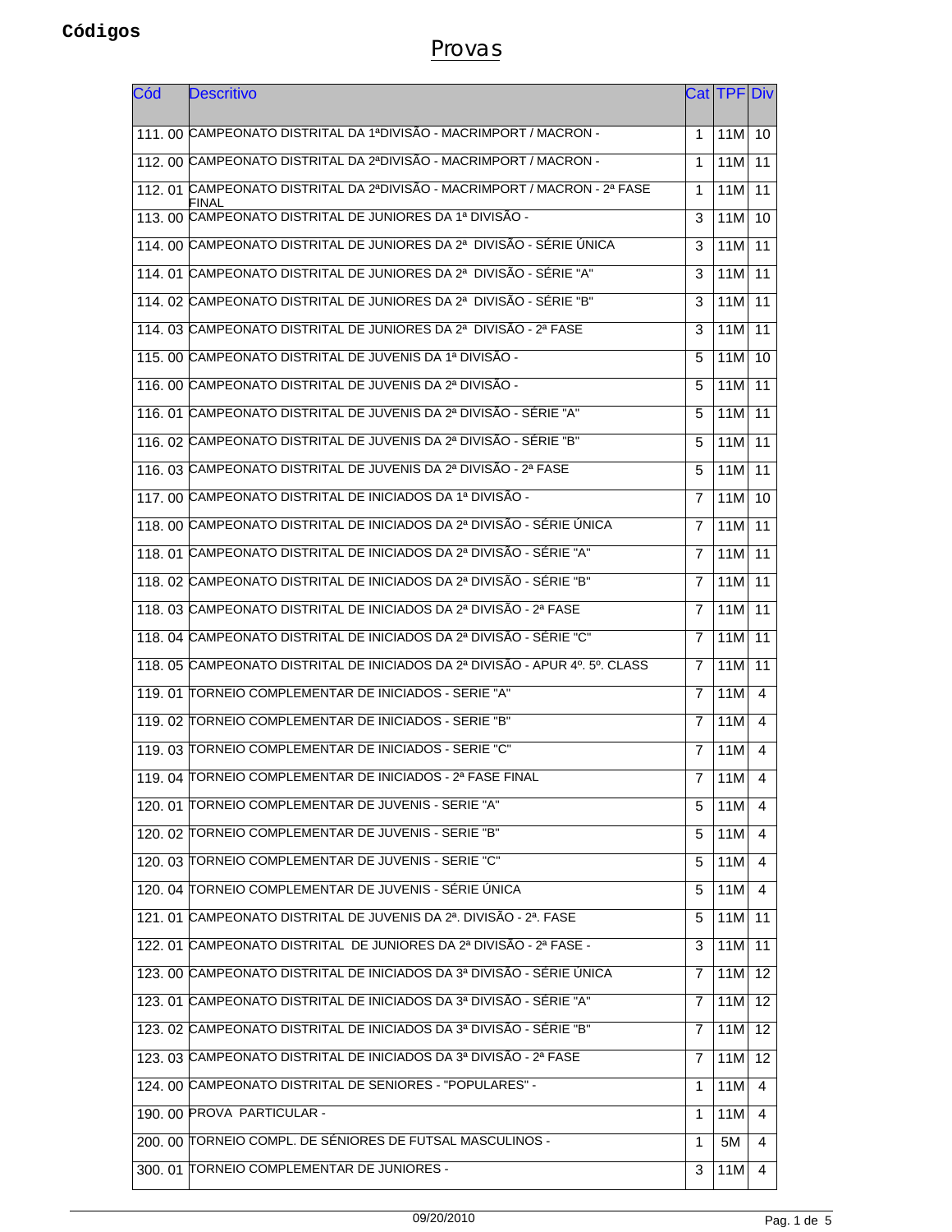| Cód | <b>Descritivo</b>                                                                  |   | Cat   TPF   Div |    |
|-----|------------------------------------------------------------------------------------|---|-----------------|----|
|     | 111, 00 CAMPEONATO DISTRITAL DA 1ªDIVISÃO - MACRIMPORT / MACRON -                  | 1 | 11M             | 10 |
|     | 112.00 CAMPEONATO DISTRITAL DA 2ªDIVISÃO - MACRIMPORT / MACRON -                   | 1 | 11M             | 11 |
|     | 112. 01 CAMPEONATO DISTRITAL DA 2ªDIVISÃO - MACRIMPORT / MACRON - 2ª FASE<br>FINAL | 1 | 11M             | 11 |
|     | 113, 00 CAMPEONATO DISTRITAL DE JUNIORES DA 1ª DIVISÃO -                           | 3 | 11M             | 10 |
|     | 114. 00 CAMPEONATO DISTRITAL DE JUNIORES DA 2ª DIVISÃO - SÉRIE ÚNICA               | 3 | 11M             | 11 |
|     | 114, 01 CAMPEONATO DISTRITAL DE JUNIORES DA 2ª DIVISÃO - SÉRIE "A"                 | 3 | 11M             | 11 |
|     | 114. 02 CAMPEONATO DISTRITAL DE JUNIORES DA 2ª DIVISÃO - SÉRIE "B"                 | 3 | 11M             | 11 |
|     | 114, 03 CAMPEONATO DISTRITAL DE JUNIORES DA 2ª DIVISÃO - 2ª FASE                   | 3 | 11M             | 11 |
|     | 115. 00 CAMPEONATO DISTRITAL DE JUVENIS DA 1ª DIVISÃO -                            | 5 | 11M             | 10 |
|     | 116, 00 CAMPEONATO DISTRITAL DE JUVENIS DA 2ª DIVISÃO -                            | 5 | 11M             | 11 |
|     | 116. 01 CAMPEONATO DISTRITAL DE JUVENIS DA 2ª DIVISÃO - SÉRIE "A"                  | 5 | 11M             | 11 |
|     | 116, 02 CAMPEONATO DISTRITAL DE JUVENIS DA 2ª DIVISÃO - SÉRIE "B"                  | 5 | 11M             | 11 |
|     | 116. 03 CAMPEONATO DISTRITAL DE JUVENIS DA 2ª DIVISÃO - 2ª FASE                    | 5 | 11M             | 11 |
|     | 117, 00 CAMPEONATO DISTRITAL DE INICIADOS DA 1ª DIVISÃO -                          | 7 | 11M             | 10 |
|     | 118. 00 CAMPEONATO DISTRITAL DE INICIADOS DA 2ª DIVISÃO - SÉRIE ÚNICA              | 7 | 11M             | 11 |
|     | 118. 01 CAMPEONATO DISTRITAL DE INICIADOS DA 2ª DIVISÃO - SÉRIE "A"                | 7 | 11M             | 11 |
|     | 118. 02 CAMPEONATO DISTRITAL DE INICIADOS DA 2ª DIVISÃO - SÉRIE "B"                | 7 | 11M             | 11 |
|     | 118, 03 CAMPEONATO DISTRITAL DE INICIADOS DA 2ª DIVISÃO - 2ª FASE                  | 7 | 11M             | 11 |
|     | 118. 04 CAMPEONATO DISTRITAL DE INICIADOS DA 2ª DIVISÃO - SÉRIE "C"                | 7 | 11M             | 11 |
|     | 118. 05 CAMPEONATO DISTRITAL DE INICIADOS DA 2ª DIVISÃO - APUR 4º. 5º. CLASS       | 7 | 11M             | 11 |
|     | 119. 01 TORNEIO COMPLEMENTAR DE INICIADOS - SERIE "A"                              | 7 | 11M             | 4  |
|     | 119. 02 TORNEIO COMPLEMENTAR DE INICIADOS - SERIE "B"                              | 7 | 11M             | 4  |
|     | 119. 03 TORNEIO COMPLEMENTAR DE INICIADOS - SERIE "C"                              | 7 | 11M             | 4  |
|     | 119. 04 TORNEIO COMPLEMENTAR DE INICIADOS - 2ª FASE FINAL                          | 7 | 11M             | 4  |
|     | 120. 01 TORNEIO COMPLEMENTAR DE JUVENIS - SERIE "A"                                | 5 | 11M             | 4  |
|     | 120. 02 TORNEIO COMPLEMENTAR DE JUVENIS - SERIE "B"                                | 5 | 11M             | 4  |
|     | 120. 03 TORNEIO COMPLEMENTAR DE JUVENIS - SERIE "C"                                | 5 | 11M             | 4  |
|     | 120. 04 TORNEIO COMPLEMENTAR DE JUVENIS - SÉRIE ÚNICA                              | 5 | 11M             | -4 |
|     | 121, 01 CAMPEONATO DISTRITAL DE JUVENIS DA 2ª. DIVISÃO - 2ª. FASE                  | 5 | 11M             | 11 |
|     | 122. 01 CAMPEONATO DISTRITAL DE JUNIORES DA 2ª DIVISÃO - 2ª FASE -                 | 3 | 11M             | 11 |
|     | 123. 00 CAMPEONATO DISTRITAL DE INICIADOS DA 3ª DIVISÃO - SÉRIE ÚNICA              | 7 | 11M             | 12 |
|     | 123. 01 CAMPEONATO DISTRITAL DE INICIADOS DA 3ª DIVISÃO - SÉRIE "A"                | 7 | 11M             | 12 |
|     | 123. 02 CAMPEONATO DISTRITAL DE INICIADOS DA 3ª DIVISÃO - SÉRIE "B"                | 7 | 11M             | 12 |
|     | 123. 03 CAMPEONATO DISTRITAL DE INICIADOS DA 3ª DIVISÃO - 2ª FASE                  | 7 | 11M             | 12 |
|     | 124.00 CAMPEONATO DISTRITAL DE SENIORES - "POPULARES" -                            | 1 | 11M             | 4  |
|     | 190. 00 PROVA PARTICULAR -                                                         | 1 | 11M             | 4  |
|     | 200. 00 TORNEIO COMPL. DE SÉNIORES DE FUTSAL MASCULINOS -                          | 1 | 5M              | 4  |
|     | 300. 01 TORNEIO COMPLEMENTAR DE JUNIORES -                                         | 3 | 11M             | 4  |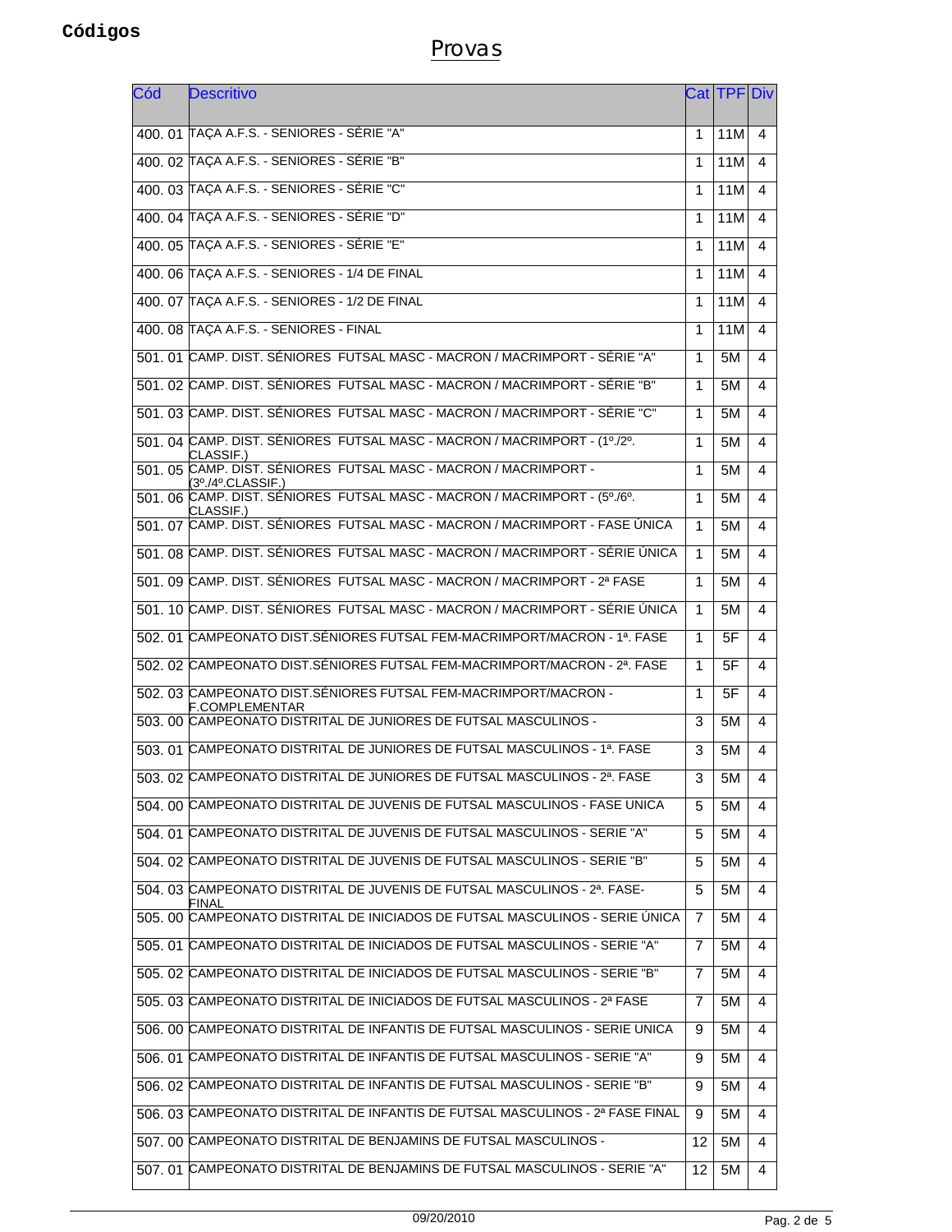| Cód | <b>Descritivo</b>                                                                                  |    | CatITPFIDiv |   |
|-----|----------------------------------------------------------------------------------------------------|----|-------------|---|
|     | 400. 01 TAÇA A.F.S. - SENIORES - SÉRIE "A"                                                         | 1  | 11M         | 4 |
|     | 400. 02 TAÇA A.F.S. - SENIORES - SÉRIE "B"                                                         | 1  | 11M         | 4 |
|     | 400. 03 TAÇA A.F.S. - SENIORES - SÉRIE "C"                                                         | 1  | 11M         | 4 |
|     | 400. 04 TAÇA A.F.S. - SENIORES - SÉRIE "D"                                                         | 1  | 11M         | 4 |
|     | 400. 05 TAÇA A.F.S. - SENIORES - SÉRIE "E"                                                         | 1  | 11M         | 4 |
|     | 400, 06 TAÇA A.F.S. - SENIORES - 1/4 DE FINAL                                                      | 1  | 11M         | 4 |
|     | 400. 07 TAÇA A.F.S. - SENIORES - 1/2 DE FINAL                                                      | 1  | 11M         | 4 |
|     | 400. 08 TAÇA A.F.S. - SENIORES - FINAL                                                             | 1  | 11M         | 4 |
|     | 501. 01 CAMP. DIST. SÉNIORES FUTSAL MASC - MACRON / MACRIMPORT - SÉRIE "A"                         | 1  | 5M          | 4 |
|     | 501. 02 CAMP. DIST. SÉNIORES FUTSAL MASC - MACRON / MACRIMPORT - SÉRIE "B"                         | 1  | 5M          | 4 |
|     | 501. 03 CAMP. DIST. SÉNIORES FUTSAL MASC - MACRON / MACRIMPORT - SÉRIE "C"                         | 1  | 5M          | 4 |
|     | 501. 04 CAMP. DIST. SÉNIORES FUTSAL MASC - MACRON / MACRIMPORT - (1º./2º.                          | 1  | 5M          | 4 |
|     | CLASSIF.)<br>501. 05 CAMP. DIST. SÉNIORES FUTSAL MASC - MACRON / MACRIMPORT -<br>(3º./4º.CLASSIF.) | 1  | 5M          | 4 |
|     | 501. 06 CAMP. DIST. SÉNIORES FUTSAL MASC - MACRON / MACRIMPORT - (5º./6º.                          | 1  | 5M          | 4 |
|     | CLASSIF.)<br>501. 07 CAMP. DIST. SÉNIORES FUTSAL MASC - MACRON / MACRIMPORT - FASE ÚNICA           | 1  | 5M          | 4 |
|     | 501. 08 CAMP. DIST. SÉNIORES FUTSAL MASC - MACRON / MACRIMPORT - SÉRIE ÚNICA                       | 1  | 5M          | 4 |
|     | 501. 09 CAMP. DIST. SÉNIORES FUTSAL MASC - MACRON / MACRIMPORT - 2ª FASE                           | 1  | 5M          | 4 |
|     | 501. 10 CAMP. DIST. SÉNIORES FUTSAL MASC - MACRON / MACRIMPORT - SÉRIE ÚNICA                       | 1  | 5M          | 4 |
|     | 502. 01 CAMPEONATO DIST.SÉNIORES FUTSAL FEM-MACRIMPORT/MACRON - 1ª. FASE                           | 1  | 5F          | 4 |
|     | 502. 02 CAMPEONATO DIST. SÉNIORES FUTSAL FEM-MACRIMPORT/MACRON - 2ª. FASE                          | 1  | 5F          | 4 |
|     | 502. 03 CAMPEONATO DIST.SÉNIORES FUTSAL FEM-MACRIMPORT/MACRON -<br>F.COMPLEMENTAR                  | 1  | 5F          | 4 |
|     | 503. 00 CAMPEONATO DISTRITAL DE JUNIORES DE FUTSAL MASCULINOS -                                    | 3  | 5M          | 4 |
|     | 503. 01 CAMPEONATO DISTRITAL DE JUNIORES DE FUTSAL MASCULINOS - 1ª. FASE                           | 3  | 5M          | 4 |
|     | 503. 02 CAMPEONATO DISTRITAL DE JUNIORES DE FUTSAL MASCULINOS - 2ª. FASE                           | 3  | 5M          | 4 |
|     | 504. 00 CAMPEONATO DISTRITAL DE JUVENIS DE FUTSAL MASCULINOS - FASE UNICA                          | 5  | 5M          | 4 |
|     | 504. 01 CAMPEONATO DISTRITAL DE JUVENIS DE FUTSAL MASCULINOS - SERIE "A"                           | 5  | 5M          | 4 |
|     | 504, 02 CAMPEONATO DISTRITAL DE JUVENIS DE FUTSAL MASCULINOS - SERIE "B"                           | 5  | 5M          | 4 |
|     | 504. 03 CAMPEONATO DISTRITAL DE JUVENIS DE FUTSAL MASCULINOS - 2ª. FASE-<br>FINAL                  | 5  | 5M          | 4 |
|     | 505. 00 CAMPEONATO DISTRITAL DE INICIADOS DE FUTSAL MASCULINOS - SERIE ÚNICA                       | 7  | 5M          | 4 |
|     | 505. 01 CAMPEONATO DISTRITAL DE INICIADOS DE FUTSAL MASCULINOS - SERIE "A"                         | 7  | 5M          | 4 |
|     | 505. 02 CAMPEONATO DISTRITAL DE INICIADOS DE FUTSAL MASCULINOS - SERIE "B"                         | 7  | 5M          | 4 |
|     | 505. 03 CAMPEONATO DISTRITAL DE INICIADOS DE FUTSAL MASCULINOS - 2ª FASE                           | 7  | 5M          | 4 |
|     | 506. 00 CAMPEONATO DISTRITAL DE INFANTIS DE FUTSAL MASCULINOS - SERIE UNICA                        | 9  | 5M          | 4 |
|     | 506. 01 CAMPEONATO DISTRITAL DE INFANTIS DE FUTSAL MASCULINOS - SERIE "A"                          | 9  | 5M          | 4 |
|     | 506. 02 CAMPEONATO DISTRITAL DE INFANTIS DE FUTSAL MASCULINOS - SERIE "B"                          | 9  | 5M          | 4 |
|     | 506. 03 CAMPEONATO DISTRITAL DE INFANTIS DE FUTSAL MASCULINOS - 2ª FASE FINAL                      | 9  | 5M          | 4 |
|     | 507. 00 CAMPEONATO DISTRITAL DE BENJAMINS DE FUTSAL MASCULINOS -                                   | 12 | 5M          | 4 |
|     | 507. 01 CAMPEONATO DISTRITAL DE BENJAMINS DE FUTSAL MASCULINOS - SERIE "A"                         | 12 | 5M          | 4 |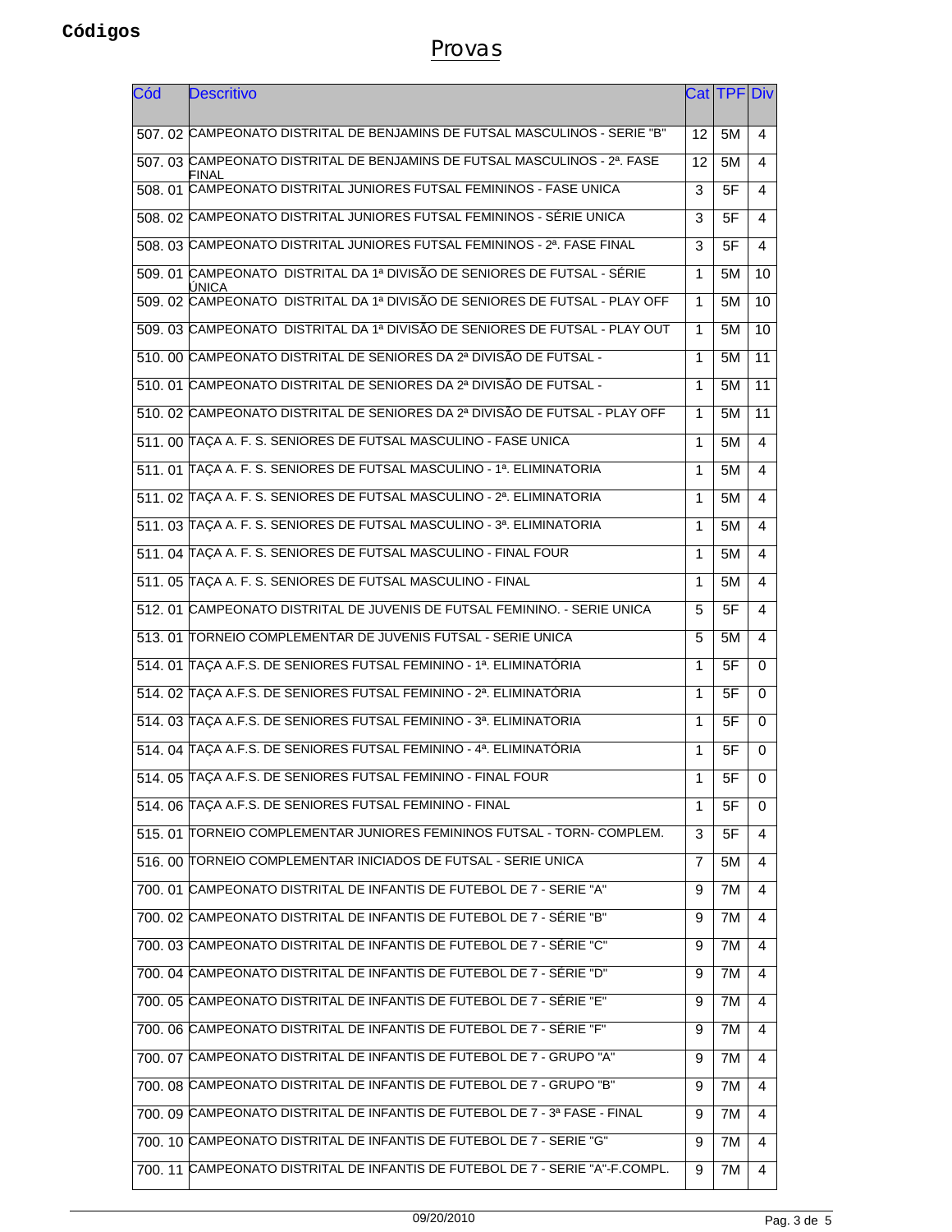| Cód | <b>Descritivo</b>                                                                  |    | Cat TPFIDiv |                         |
|-----|------------------------------------------------------------------------------------|----|-------------|-------------------------|
|     | 507. 02 CAMPEONATO DISTRITAL DE BENJAMINS DE FUTSAL MASCULINOS - SERIE "B"         | 12 | 5M          | 4                       |
|     | 507. 03 CAMPEONATO DISTRITAL DE BENJAMINS DE FUTSAL MASCULINOS - 2ª. FASE<br>FINAL | 12 | 5M          | 4                       |
|     | 508. 01 CAMPEONATO DISTRITAL JUNIORES FUTSAL FEMININOS - FASE UNICA                | 3  | 5F          | 4                       |
|     | 508. 02 CAMPEONATO DISTRITAL JUNIORES FUTSAL FEMININOS - SÉRIE UNICA               | 3  | 5F          | 4                       |
|     | 508. 03 CAMPEONATO DISTRITAL JUNIORES FUTSAL FEMININOS - 2ª. FASE FINAL            | 3  | 5F          | $\overline{\mathbf{A}}$ |
|     | 509. 01 CAMPEONATO DISTRITAL DA 1ª DIVISÃO DE SENIORES DE FUTSAL - SÉRIE<br>UNICA  | 1  | 5M          | 10                      |
|     | 509. 02 CAMPEONATO DISTRITAL DA 1ª DIVISÃO DE SENIORES DE FUTSAL - PLAY OFF        | 1  | 5M          | 10                      |
|     | 509. 03 CAMPEONATO DISTRITAL DA 1ª DIVISÃO DE SENIORES DE FUTSAL - PLAY OUT        | 1  | 5M          | 10                      |
|     | 510. 00 CAMPEONATO DISTRITAL DE SENIORES DA 2ª DIVISÃO DE FUTSAL -                 | 1  | 5M          | 11                      |
|     | 510, 01 CAMPEONATO DISTRITAL DE SENIORES DA 2ª DIVISÃO DE FUTSAL -                 | 1  | 5M          | 11                      |
|     | 510, 02 CAMPEONATO DISTRITAL DE SENIORES DA 2ª DIVISÃO DE FUTSAL - PLAY OFF        | 1  | 5M          | 11                      |
|     | 511. 00 TAÇA A. F. S. SENIORES DE FUTSAL MASCULINO - FASE UNICA                    | 1  | 5M          | $\overline{\mathbf{4}}$ |
|     | 511. 01 TAÇA A. F. S. SENIORES DE FUTSAL MASCULINO - 1ª. ELIMINATORIA              | 1  | 5M          | 4                       |
|     | 511. 02 TAÇA A. F. S. SENIORES DE FUTSAL MASCULINO - 2ª. ELIMINATORIA              | 1  | 5M          | 4                       |
|     | 511. 03 TAÇA A. F. S. SENIORES DE FUTSAL MASCULINO - 3ª. ELIMINATORIA              | 1  | 5M          | 4                       |
|     | 511. 04 TAÇA A. F. S. SENIORES DE FUTSAL MASCULINO - FINAL FOUR                    | 1  | 5M          | 4                       |
|     | 511. 05 TAÇA A. F. S. SENIORES DE FUTSAL MASCULINO - FINAL                         | 1  | 5M          | 4                       |
|     | 512, 01 CAMPEONATO DISTRITAL DE JUVENIS DE FUTSAL FEMININO. - SERIE UNICA          | 5  | 5F          | 4                       |
|     | 513, 01 TORNEIO COMPLEMENTAR DE JUVENIS FUTSAL - SERIE UNICA                       | 5  | 5M          | 4                       |
|     | 514. 01 TAÇA A.F.S. DE SENIORES FUTSAL FEMININO - 1ª. ELIMINATÓRIA                 | 1  | 5F          | $\Omega$                |
|     | 514. 02 TAÇA A.F.S. DE SENIORES FUTSAL FEMININO - 2ª. ELIMINATÓRIA                 | 1  | 5F          | 0                       |
|     | 514. 03 TAÇA A.F.S. DE SENIORES FUTSAL FEMININO - 3ª. ELIMINATORIA                 | 1  | 5F          | $\Omega$                |
|     | 514, 04 TAÇA A.F.S. DE SENIORES FUTSAL FEMININO - 4ª. ELIMINATÓRIA                 | 1  | 5F          | $\Omega$                |
|     | 514. 05 TAÇA A.F.S. DE SENIORES FUTSAL FEMININO - FINAL FOUR                       | 1  | 5F          | $\mathbf 0$             |
|     | 514. 06 TAÇA A.F.S. DE SENIORES FUTSAL FEMININO - FINAL                            | 1  | 5F          | 0                       |
|     | 515. 01 TORNEIO COMPLEMENTAR JUNIORES FEMININOS FUTSAL - TORN- COMPLEM.            | 3  | 5F          | 4                       |
|     | 516. 00 TORNEIO COMPLEMENTAR INICIADOS DE FUTSAL - SERIE UNICA                     | 7  | 5M          | 4                       |
|     | 700. 01 CAMPEONATO DISTRITAL DE INFANTIS DE FUTEBOL DE 7 - SERIE "A"               | 9  | 7M          | 4                       |
|     | 700. 02 CAMPEONATO DISTRITAL DE INFANTIS DE FUTEBOL DE 7 - SÉRIE "B"               | 9  | 7M          | 4                       |
|     | 700. 03 CAMPEONATO DISTRITAL DE INFANTIS DE FUTEBOL DE 7 - SÉRIE "C"               | 9  | 7M          | 4                       |
|     | 700. 04 CAMPEONATO DISTRITAL DE INFANTIS DE FUTEBOL DE 7 - SÉRIE "D"               | 9  | 7M          | 4                       |
|     | 700. 05 CAMPEONATO DISTRITAL DE INFANTIS DE FUTEBOL DE 7 - SÉRIE "E"               | 9  | 7M          | 4                       |
|     | 700. 06 CAMPEONATO DISTRITAL DE INFANTIS DE FUTEBOL DE 7 - SÉRIE "F"               | 9  | 7M          | 4                       |
|     | 700. 07 CAMPEONATO DISTRITAL DE INFANTIS DE FUTEBOL DE 7 - GRUPO "A"               | 9  | 7M          | 4                       |
|     | 700. 08 CAMPEONATO DISTRITAL DE INFANTIS DE FUTEBOL DE 7 - GRUPO "B"               | 9  | 7M          | 4                       |
|     | 700. 09 CAMPEONATO DISTRITAL DE INFANTIS DE FUTEBOL DE 7 - 3ª FASE - FINAL         | 9  | 7M          | 4                       |
|     | 700. 10 CAMPEONATO DISTRITAL DE INFANTIS DE FUTEBOL DE 7 - SERIE "G"               | 9  | 7M          | 4                       |
|     | 700. 11 CAMPEONATO DISTRITAL DE INFANTIS DE FUTEBOL DE 7 - SERIE "A"-F.COMPL.      | 9  | 7M          | 4                       |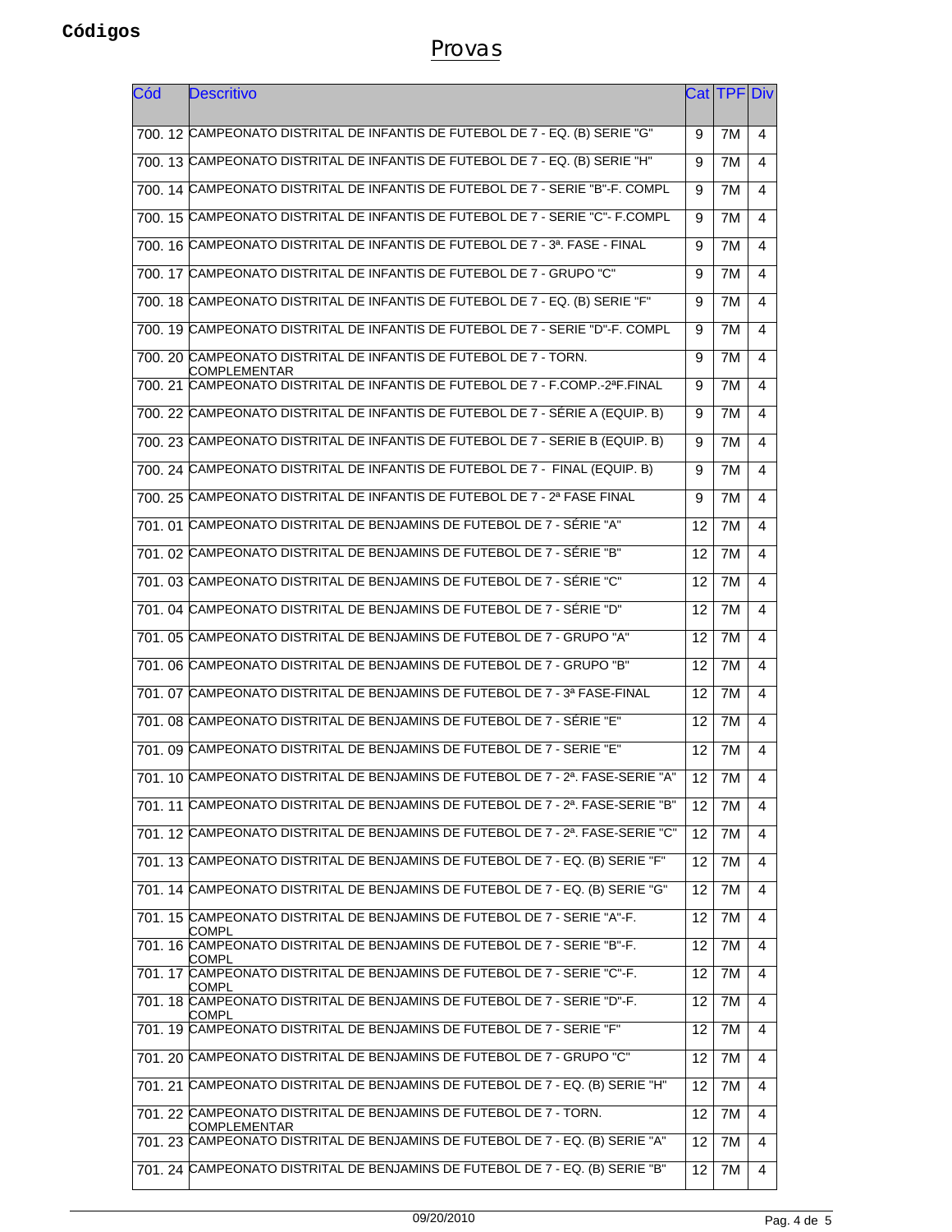| Cód | Descritivo                                                                        |                 | CatITPFIDiv |                |
|-----|-----------------------------------------------------------------------------------|-----------------|-------------|----------------|
|     | 700. 12 CAMPEONATO DISTRITAL DE INFANTIS DE FUTEBOL DE 7 - EQ. (B) SERIE "G"      | 9               | 7M          | 4              |
|     | 700, 13 CAMPEONATO DISTRITAL DE INFANTIS DE FUTEBOL DE 7 - EQ. (B) SERIE "H"      | 9               | 7M          | 4              |
|     | 700, 14 CAMPEONATO DISTRITAL DE INFANTIS DE FUTEBOL DE 7 - SERIE "B"-F. COMPL     | 9               | 7M          | 4              |
|     | 700, 15 CAMPEONATO DISTRITAL DE INFANTIS DE FUTEBOL DE 7 - SERIE "C"- F.COMPL     | 9               | 7M          | 4              |
|     | 700, 16 CAMPEONATO DISTRITAL DE INFANTIS DE FUTEBOL DE 7 - 3ª. FASE - FINAL       | 9               | 7M          | 4              |
|     | 700. 17 CAMPEONATO DISTRITAL DE INFANTIS DE FUTEBOL DE 7 - GRUPO "C"              | 9               | 7M          | 4              |
|     | 700, 18 CAMPEONATO DISTRITAL DE INFANTIS DE FUTEBOL DE 7 - EQ. (B) SERIE "F"      | 9               | 7M          | 4              |
|     | 700, 19 CAMPEONATO DISTRITAL DE INFANTIS DE FUTEBOL DE 7 - SERIE "D"-F. COMPL     | 9               | 7M          | 4              |
|     | 700. 20 CAMPEONATO DISTRITAL DE INFANTIS DE FUTEBOL DE 7 - TORN.<br>COMPLEMENTAR  | 9               | 7M          | 4              |
|     | 700. 21 CAMPEONATO DISTRITAL DE INFANTIS DE FUTEBOL DE 7 - F.COMP.-2ªF.FINAL      | 9               | 7M          | 4              |
|     | 700, 22 CAMPEONATO DISTRITAL DE INFANTIS DE FUTEBOL DE 7 - SÉRIE A (EQUIP. B)     | 9               | 7M          | 4              |
|     | 700, 23 CAMPEONATO DISTRITAL DE INFANTIS DE FUTEBOL DE 7 - SERIE B (EQUIP. B)     | 9               | 7M          | 4              |
|     | 700. 24 CAMPEONATO DISTRITAL DE INFANTIS DE FUTEBOL DE 7 - FINAL (EQUIP. B)       | 9               | 7M          | 4              |
|     | 700, 25 CAMPEONATO DISTRITAL DE INFANTIS DE FUTEBOL DE 7 - 2ª FASE FINAL          | 9               | 7M          | 4              |
|     | 701, 01 CAMPEONATO DISTRITAL DE BENJAMINS DE FUTEBOL DE 7 - SÉRIE "A"             | 12              | 7M          | 4              |
|     | 701, 02 CAMPEONATO DISTRITAL DE BENJAMINS DE FUTEBOL DE 7 - SÉRIE "B"             | 12              | 7M          | 4              |
|     | 701. 03 CAMPEONATO DISTRITAL DE BENJAMINS DE FUTEBOL DE 7 - SÉRIE "C"             | 12              | 7M          | 4              |
|     | 701, 04 CAMPEONATO DISTRITAL DE BENJAMINS DE FUTEBOL DE 7 - SÉRIE "D"             | 12              | 7M          | 4              |
|     | 701. 05 CAMPEONATO DISTRITAL DE BENJAMINS DE FUTEBOL DE 7 - GRUPO "A"             | 12              | 7M          | 4              |
|     | 701, 06 CAMPEONATO DISTRITAL DE BENJAMINS DE FUTEBOL DE 7 - GRUPO "B"             | 12              | 7M          | 4              |
|     | 701, 07 CAMPEONATO DISTRITAL DE BENJAMINS DE FUTEBOL DE 7 - 3ª FASE-FINAL         | 12              | 7M          | 4              |
|     | 701, 08 CAMPEONATO DISTRITAL DE BENJAMINS DE FUTEBOL DE 7 - SÉRIE "E"             | 12              | 7M          | 4              |
|     | 701, 09 CAMPEONATO DISTRITAL DE BENJAMINS DE FUTEBOL DE 7 - SERIE "E"             | 12              | 7M          | 4              |
|     | 701. 10 CAMPEONATO DISTRITAL DE BENJAMINS DE FUTEBOL DE 7 - 2ª. FASE-SERIE "A"    | $\overline{12}$ | 7M          | $\overline{4}$ |
|     | 701. 11 CAMPEONATO DISTRITAL DE BENJAMINS DE FUTEBOL DE 7 - 2ª. FASE-SERIE "B"    | 12              | 7M          | 4              |
|     | 701. 12 CAMPEONATO DISTRITAL DE BENJAMINS DE FUTEBOL DE 7 - 2ª. FASE-SERIE "C"    | 12              | 7M          | 4              |
|     | 701. 13 CAMPEONATO DISTRITAL DE BENJAMINS DE FUTEBOL DE 7 - EQ. (B) SERIE "F"     | 12              | 7M          | 4              |
|     | 701, 14 CAMPEONATO DISTRITAL DE BENJAMINS DE FUTEBOL DE 7 - EQ. (B) SERIE "G"     | 12              | 7M          | 4              |
|     | 701. 15 CAMPEONATO DISTRITAL DE BENJAMINS DE FUTEBOL DE 7 - SERIE "A"-F.<br>COMPL | 12              | 7M          | 4              |
|     | 701. 16 CAMPEONATO DISTRITAL DE BENJAMINS DE FUTEBOL DE 7 - SERIE "B"-F.<br>COMPL | 12              | 7M          | 4              |
|     | 701. 17 CAMPEONATO DISTRITAL DE BENJAMINS DE FUTEBOL DE 7 - SERIE "C"-F.<br>COMPL | 12              | 7M          | 4              |
|     | 701. 18 CAMPEONATO DISTRITAL DE BENJAMINS DE FUTEBOL DE 7 - SERIE "D"-F.<br>COMPL | 12              | 7M          | 4              |
|     | 701. 19 CAMPEONATO DISTRITAL DE BENJAMINS DE FUTEBOL DE 7 - SERIE "F"             | 12              | 7M          | 4              |
|     | 701. 20 CAMPEONATO DISTRITAL DE BENJAMINS DE FUTEBOL DE 7 - GRUPO "C"             | 12              | 7M          | 4              |
|     | 701. 21 CAMPEONATO DISTRITAL DE BENJAMINS DE FUTEBOL DE 7 - EQ. (B) SERIE "H"     | 12              | 7M          | 4              |
|     | 701. 22 CAMPEONATO DISTRITAL DE BENJAMINS DE FUTEBOL DE 7 - TORN.<br>COMPLEMENTAR | 12              | 7M          | 4              |
|     | 701. 23 CAMPEONATO DISTRITAL DE BENJAMINS DE FUTEBOL DE 7 - EQ. (B) SERIE "A"     | 12              | 7M          | 4              |
|     | 701. 24 CAMPEONATO DISTRITAL DE BENJAMINS DE FUTEBOL DE 7 - EQ. (B) SERIE "B"     | 12              | 7M          | 4              |